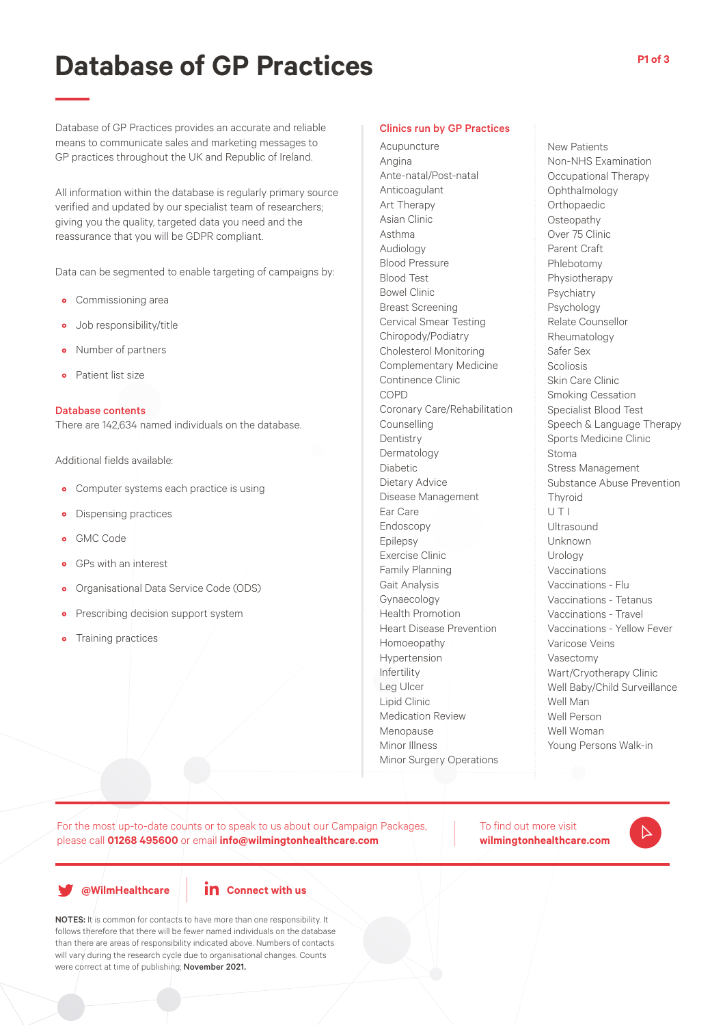# **Database of GP Practices**

Database of GP Practices provides an accurate and reliable means to communicate sales and marketing messages to GP practices throughout the UK and Republic of Ireland.

All information within the database is regularly primary source verified and updated by our specialist team of researchers; giving you the quality, targeted data you need and the reassurance that you will be GDPR compliant.

Data can be segmented to enable targeting of campaigns by:

- Commissioning area
- Job responsibility/title
- Number of partners
- Patient list size

### Database contents

There are 142,634 named individuals on the database.

Additional fields available:

- Computer systems each practice is using
- Dispensing practices
- GMC Code
- GPs with an interest
- Organisational Data Service Code (ODS)
- **•** Prescribing decision support system
- Training practices

#### Clinics run by GP Practices

Acupuncture Angina Ante-natal/Post-natal Anticoagulant Art Therapy Asian Clinic Asthma Audiology Blood Pressure Blood Test Bowel Clinic Breast Screening Cervical Smear Testing Chiropody/Podiatry Cholesterol Monitoring Complementary Medicine Continence Clinic COPD Coronary Care/Rehabilitation **Counselling Dentistry** Dermatology Diabetic Dietary Advice Disease Management Ear Care Endoscopy Epilepsy Exercise Clinic Family Planning Gait Analysis Gynaecology Health Promotion Heart Disease Prevention Homoeopathy Hypertension Infertility Leg Ulcer Lipid Clinic Medication Review Menopause Minor Illness Minor Surgery Operations

New Patients Non-NHS Examination Occupational Therapy Ophthalmology Orthopaedic **Osteopathy** Over 75 Clinic Parent Craft Phlebotomy Physiotherapy Psychiatry Psychology Relate Counsellor Rheumatology Safer Sex Scoliosis Skin Care Clinic Smoking Cessation Specialist Blood Test Speech & Language Therapy Sports Medicine Clinic Stoma Stress Management Substance Abuse Prevention **Thyroid** U T I Ultrasound Unknown Urology Vaccinations Vaccinations - Flu Vaccinations - Tetanus Vaccinations - Travel Vaccinations - Yellow Fever Varicose Veins Vasectomy Wart/Cryotherapy Clinic Well Baby/Child Surveillance Well Man Well Person Well Woman Young Persons Walk-in

For the most up-to-date counts or to speak to us about our Campaign Packages, please call **01268 495600** or email **info@wilmingtonhealthcare.com**

To find out more visit **wilmingtonhealthcare.com**



**@WilmHealthcare**



NOTES: It is common for contacts to have more than one responsibility. It follows therefore that there will be fewer named individuals on the database than there are areas of responsibility indicated above. Numbers of contacts will vary during the research cycle due to organisational changes. Counts were correct at time of publishing; November 2021.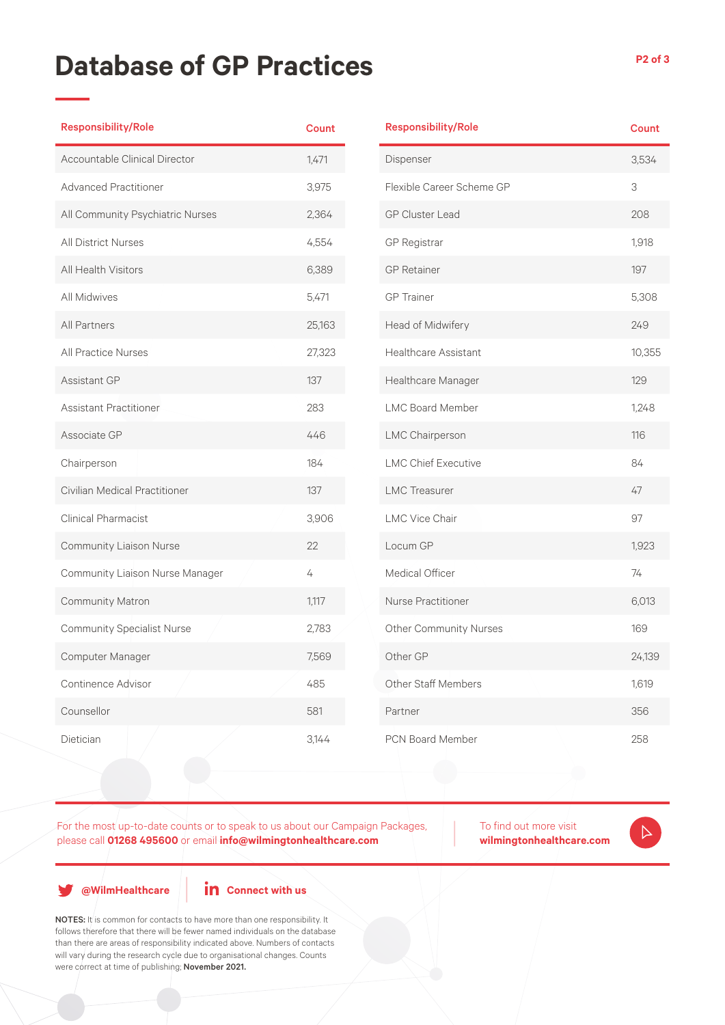## **Database of GP Practices**

| <b>Responsibility/Role</b>        | <b>Count</b> |
|-----------------------------------|--------------|
| Accountable Clinical Director     | 1,471        |
| <b>Advanced Practitioner</b>      | 3,975        |
| All Community Psychiatric Nurses  | 2,364        |
| <b>All District Nurses</b>        | 4,554        |
| <b>All Health Visitors</b>        | 6,389        |
| All Midwives                      | 5,471        |
| <b>All Partners</b>               | 25,163       |
| <b>All Practice Nurses</b>        | 27,323       |
| Assistant GP                      | 137          |
| <b>Assistant Practitioner</b>     | 283          |
| Associate GP                      | 446          |
| Chairperson                       | 184          |
| Civilian Medical Practitioner     | 137          |
| <b>Clinical Pharmacist</b>        | 3,906        |
| <b>Community Liaison Nurse</b>    | 22           |
| Community Liaison Nurse Manager   | 4            |
| Community Matron                  | 1,117        |
| <b>Community Specialist Nurse</b> | 2,783        |
| Computer Manager                  | 7,569        |
| Continence Advisor                | 485          |
| Counsellor                        | 581          |
| Dietician                         | 3,144        |

| <b>Responsibility/Role</b>    | <b>Count</b> |
|-------------------------------|--------------|
| Dispenser                     | 3,534        |
| Flexible Career Scheme GP     | 3            |
| <b>GP Cluster Lead</b>        | 208          |
| <b>GP Registrar</b>           | 1,918        |
| <b>GP</b> Retainer            | 197          |
| <b>GP</b> Trainer             | 5,308        |
| Head of Midwifery             | 249          |
| <b>Healthcare Assistant</b>   | 10,355       |
| Healthcare Manager            | 129          |
| <b>LMC Board Member</b>       | 1,248        |
| LMC Chairperson               | 116          |
| <b>LMC Chief Executive</b>    | 84           |
| <b>LMC</b> Treasurer          | 47           |
| <b>LMC Vice Chair</b>         | 97           |
| Locum GP                      | 1,923        |
| Medical Officer               | 74           |
| <b>Nurse Practitioner</b>     | 6,013        |
| <b>Other Community Nurses</b> | 169          |
| Other GP                      | 24,139       |
| <b>Other Staff Members</b>    | 1,619        |
| Partner                       | 356          |
| <b>PCN Board Member</b>       | 258          |

For the most up-to-date counts or to speak to us about our Campaign Packages, please call **01268 495600** or email **info@wilmingtonhealthcare.com**

To find out more visit **wilmingtonhealthcare.com**

 $\triangleright$ 

**@WilmHealthcare**

**in** Connect with us

NOTES: It is common for contacts to have more than one responsibility. It follows therefore that there will be fewer named individuals on the database than there are areas of responsibility indicated above. Numbers of contacts will vary during the research cycle due to organisational changes. Counts were correct at time of publishing; November 2021.